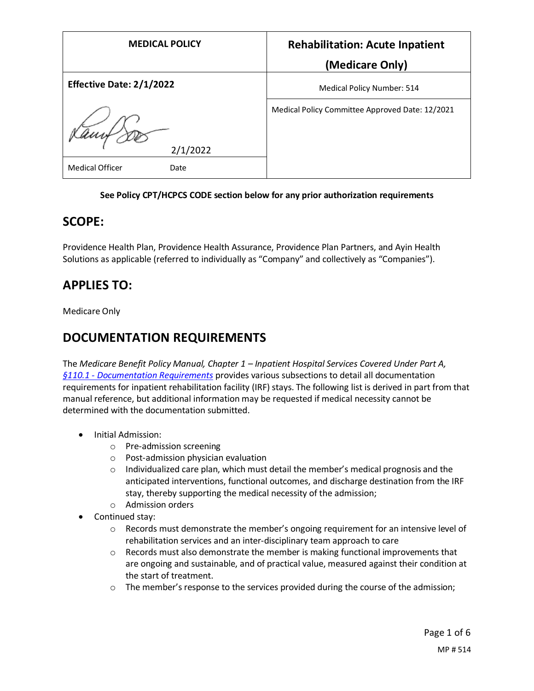| <b>MEDICAL POLICY</b>           | <b>Rehabilitation: Acute Inpatient</b>          |
|---------------------------------|-------------------------------------------------|
|                                 | (Medicare Only)                                 |
| <b>Effective Date: 2/1/2022</b> | Medical Policy Number: 514                      |
| 2/1/2022                        | Medical Policy Committee Approved Date: 12/2021 |
| <b>Medical Officer</b><br>Date  |                                                 |

#### **See Policy CPT/HCPCS CODE section below for any prior authorization requirements**

### **SCOPE:**

Providence Health Plan, Providence Health Assurance, Providence Plan Partners, and Ayin Health Solutions as applicable (referred to individually as "Company" and collectively as "Companies").

## **APPLIES TO:**

Medicare Only

## **DOCUMENTATION REQUIREMENTS**

The *Medicare Benefit Policy Manual, Chapter 1 – Inpatient Hospital Services Covered Under Part A, §110.1 - [Documentation Requirements](https://www.cms.gov/Regulations-and-Guidance/Guidance/Manuals/Downloads/bp102c01.pdf#page=31)* provides various subsections to detail all documentation requirements for inpatient rehabilitation facility (IRF) stays. The following list is derived in part from that manual reference, but additional information may be requested if medical necessity cannot be determined with the documentation submitted.

- Initial Admission:
	- o Pre-admission screening
	- o Post-admission physician evaluation
	- $\circ$  Individualized care plan, which must detail the member's medical prognosis and the anticipated interventions, functional outcomes, and discharge destination from the IRF stay, thereby supporting the medical necessity of the admission;
	- o Admission orders
- Continued stay:
	- $\circ$  Records must demonstrate the member's ongoing requirement for an intensive level of rehabilitation services and an inter-disciplinary team approach to care
	- $\circ$  Records must also demonstrate the member is making functional improvements that are ongoing and sustainable, and of practical value, measured against their condition at the start of treatment.
	- $\circ$  The member's response to the services provided during the course of the admission;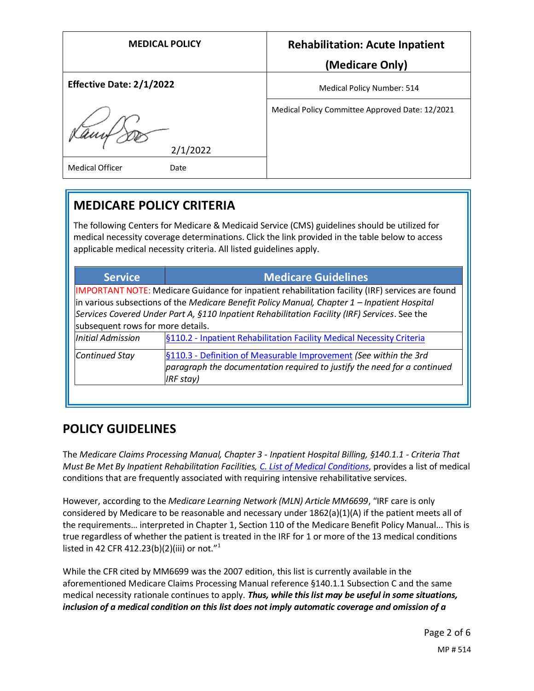| <b>MEDICAL POLICY</b>          | <b>Rehabilitation: Acute Inpatient</b>          |
|--------------------------------|-------------------------------------------------|
|                                | (Medicare Only)                                 |
| Effective Date: 2/1/2022       | Medical Policy Number: 514                      |
| Kamb<br>2/1/2022               | Medical Policy Committee Approved Date: 12/2021 |
| <b>Medical Officer</b><br>Date |                                                 |

## **MEDICARE POLICY CRITERIA**

The following Centers for Medicare & Medicaid Service (CMS) guidelines should be utilized for medical necessity coverage determinations. Click the link provided in the table below to access applicable medical necessity criteria. All listed guidelines apply.

| <b>Service</b>                                                                                   | <b>Medicare Guidelines</b>                                                                    |
|--------------------------------------------------------------------------------------------------|-----------------------------------------------------------------------------------------------|
| IMPORTANT NOTE: Medicare Guidance for inpatient rehabilitation facility (IRF) services are found |                                                                                               |
|                                                                                                  | in various subsections of the Medicare Benefit Policy Manual, Chapter 1 – Inpatient Hospital  |
|                                                                                                  | Services Covered Under Part A, §110 Inpatient Rehabilitation Facility (IRF) Services. See the |
| subsequent rows for more details.                                                                |                                                                                               |
| <b>Initial Admission</b>                                                                         | §110.2 - Inpatient Rehabilitation Facility Medical Necessity Criteria                         |
| Continued Stay                                                                                   | §110.3 - Definition of Measurable Improvement (See within the 3rd                             |
|                                                                                                  | paragraph the documentation required to justify the need for a continued                      |
|                                                                                                  | IRF stay)                                                                                     |
|                                                                                                  |                                                                                               |

## **POLICY GUIDELINES**

The *Medicare Claims Processing Manual, Chapter 3 - Inpatient Hospital Billing, §140.1.1 - Criteria That Must Be Met By Inpatient Rehabilitation Facilities[, C. List of Medical Conditions](https://www.cms.gov/Regulations-and-Guidance/Guidance/Manuals/Downloads/clm104c03.pdf#page=176)*, provides a list of medical conditions that are frequently associated with requiring intensive rehabilitative services.

However, according to the *Medicare Learning Network (MLN) Article MM6699*, "IRF care is only considered by Medicare to be reasonable and necessary under 1862(a)(1)(A) if the patient meets all of the requirements… interpreted in Chapter 1, Section 110 of the Medicare Benefit Policy Manual... This is true regardless of whether the patient is treated in the IRF for 1 or more of the 13 medical conditions listed in 42 CFR 412.23(b)(2)(iii) or not."<sup>1</sup>

While the CFR cited by MM6699 was the 2007 edition, this list is currently available in the aforementioned Medicare Claims Processing Manual reference §140.1.1 Subsection C and the same medical necessity rationale continues to apply. *Thus, while this list may be useful in some situations, inclusion of a medical condition on this list does not imply automatic coverage and omission of a*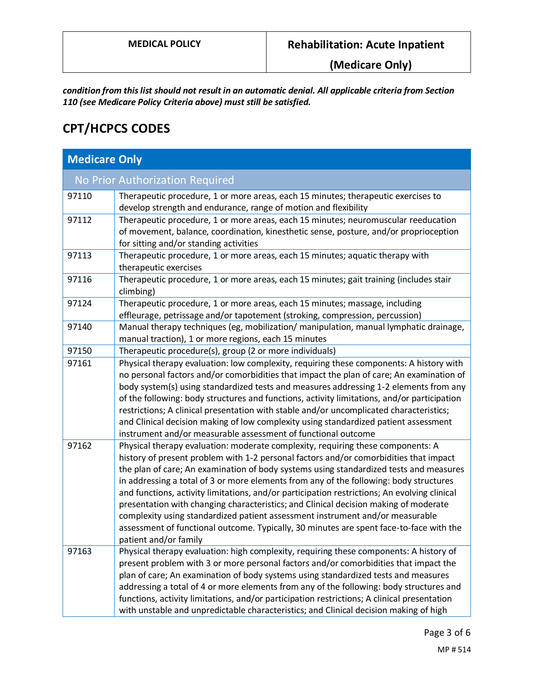**(Medicare Only)**

*condition from this list should not result in an automatic denial. All applicable criteria from Section 110 (see Medicare Policy Criteria above) must still be satisfied.*

# **CPT/HCPCS CODES**

| <b>Medicare Only</b>            |                                                                                                                                                                                                                                                                                                                                                                                                                                                                                                                                                                                                                                                                                                                                                           |  |
|---------------------------------|-----------------------------------------------------------------------------------------------------------------------------------------------------------------------------------------------------------------------------------------------------------------------------------------------------------------------------------------------------------------------------------------------------------------------------------------------------------------------------------------------------------------------------------------------------------------------------------------------------------------------------------------------------------------------------------------------------------------------------------------------------------|--|
| No Prior Authorization Required |                                                                                                                                                                                                                                                                                                                                                                                                                                                                                                                                                                                                                                                                                                                                                           |  |
| 97110                           | Therapeutic procedure, 1 or more areas, each 15 minutes; therapeutic exercises to<br>develop strength and endurance, range of motion and flexibility                                                                                                                                                                                                                                                                                                                                                                                                                                                                                                                                                                                                      |  |
| 97112                           | Therapeutic procedure, 1 or more areas, each 15 minutes; neuromuscular reeducation<br>of movement, balance, coordination, kinesthetic sense, posture, and/or proprioception<br>for sitting and/or standing activities                                                                                                                                                                                                                                                                                                                                                                                                                                                                                                                                     |  |
| 97113                           | Therapeutic procedure, 1 or more areas, each 15 minutes; aquatic therapy with<br>therapeutic exercises                                                                                                                                                                                                                                                                                                                                                                                                                                                                                                                                                                                                                                                    |  |
| 97116                           | Therapeutic procedure, 1 or more areas, each 15 minutes; gait training (includes stair<br>climbing)                                                                                                                                                                                                                                                                                                                                                                                                                                                                                                                                                                                                                                                       |  |
| 97124                           | Therapeutic procedure, 1 or more areas, each 15 minutes; massage, including<br>effleurage, petrissage and/or tapotement (stroking, compression, percussion)                                                                                                                                                                                                                                                                                                                                                                                                                                                                                                                                                                                               |  |
| 97140                           | Manual therapy techniques (eg, mobilization/ manipulation, manual lymphatic drainage,<br>manual traction), 1 or more regions, each 15 minutes                                                                                                                                                                                                                                                                                                                                                                                                                                                                                                                                                                                                             |  |
| 97150                           | Therapeutic procedure(s), group (2 or more individuals)                                                                                                                                                                                                                                                                                                                                                                                                                                                                                                                                                                                                                                                                                                   |  |
| 97161                           | Physical therapy evaluation: low complexity, requiring these components: A history with<br>no personal factors and/or comorbidities that impact the plan of care; An examination of<br>body system(s) using standardized tests and measures addressing 1-2 elements from any<br>of the following: body structures and functions, activity limitations, and/or participation<br>restrictions; A clinical presentation with stable and/or uncomplicated characteristics;<br>and Clinical decision making of low complexity using standardized patient assessment<br>instrument and/or measurable assessment of functional outcome                                                                                                                           |  |
| 97162                           | Physical therapy evaluation: moderate complexity, requiring these components: A<br>history of present problem with 1-2 personal factors and/or comorbidities that impact<br>the plan of care; An examination of body systems using standardized tests and measures<br>in addressing a total of 3 or more elements from any of the following: body structures<br>and functions, activity limitations, and/or participation restrictions; An evolving clinical<br>presentation with changing characteristics; and Clinical decision making of moderate<br>complexity using standardized patient assessment instrument and/or measurable<br>assessment of functional outcome. Typically, 30 minutes are spent face-to-face with the<br>patient and/or family |  |
| 97163                           | Physical therapy evaluation: high complexity, requiring these components: A history of<br>present problem with 3 or more personal factors and/or comorbidities that impact the<br>plan of care; An examination of body systems using standardized tests and measures<br>addressing a total of 4 or more elements from any of the following: body structures and<br>functions, activity limitations, and/or participation restrictions; A clinical presentation<br>with unstable and unpredictable characteristics; and Clinical decision making of high                                                                                                                                                                                                   |  |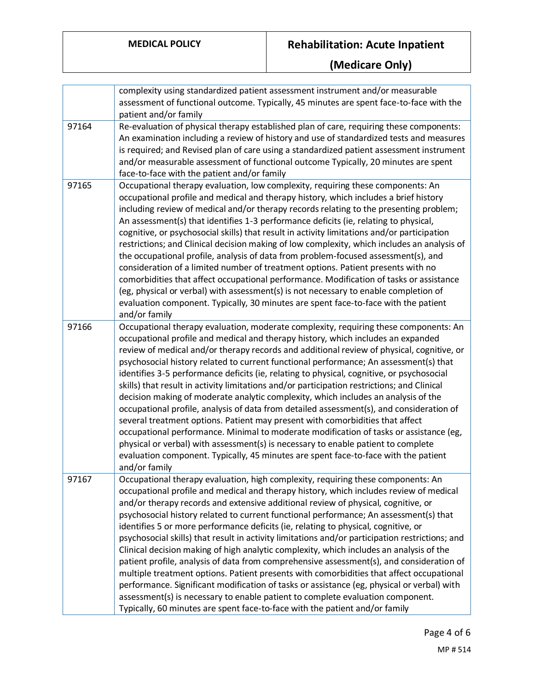# **MEDICAL POLICY Rehabilitation: Acute Inpatient**

**(Medicare Only)**

|       | complexity using standardized patient assessment instrument and/or measurable<br>assessment of functional outcome. Typically, 45 minutes are spent face-to-face with the<br>patient and/or family                                                                                                                                                                                                                                                                                                                                                                                                                                                                                                                                                                                                                                                                                                                                                                                                                                                                                                                    |
|-------|----------------------------------------------------------------------------------------------------------------------------------------------------------------------------------------------------------------------------------------------------------------------------------------------------------------------------------------------------------------------------------------------------------------------------------------------------------------------------------------------------------------------------------------------------------------------------------------------------------------------------------------------------------------------------------------------------------------------------------------------------------------------------------------------------------------------------------------------------------------------------------------------------------------------------------------------------------------------------------------------------------------------------------------------------------------------------------------------------------------------|
| 97164 | Re-evaluation of physical therapy established plan of care, requiring these components:<br>An examination including a review of history and use of standardized tests and measures<br>is required; and Revised plan of care using a standardized patient assessment instrument<br>and/or measurable assessment of functional outcome Typically, 20 minutes are spent<br>face-to-face with the patient and/or family                                                                                                                                                                                                                                                                                                                                                                                                                                                                                                                                                                                                                                                                                                  |
| 97165 | Occupational therapy evaluation, low complexity, requiring these components: An<br>occupational profile and medical and therapy history, which includes a brief history<br>including review of medical and/or therapy records relating to the presenting problem;<br>An assessment(s) that identifies 1-3 performance deficits (ie, relating to physical,<br>cognitive, or psychosocial skills) that result in activity limitations and/or participation<br>restrictions; and Clinical decision making of low complexity, which includes an analysis of<br>the occupational profile, analysis of data from problem-focused assessment(s), and<br>consideration of a limited number of treatment options. Patient presents with no<br>comorbidities that affect occupational performance. Modification of tasks or assistance<br>(eg, physical or verbal) with assessment(s) is not necessary to enable completion of<br>evaluation component. Typically, 30 minutes are spent face-to-face with the patient<br>and/or family                                                                                         |
| 97166 | Occupational therapy evaluation, moderate complexity, requiring these components: An<br>occupational profile and medical and therapy history, which includes an expanded<br>review of medical and/or therapy records and additional review of physical, cognitive, or<br>psychosocial history related to current functional performance; An assessment(s) that<br>identifies 3-5 performance deficits (ie, relating to physical, cognitive, or psychosocial<br>skills) that result in activity limitations and/or participation restrictions; and Clinical<br>decision making of moderate analytic complexity, which includes an analysis of the<br>occupational profile, analysis of data from detailed assessment(s), and consideration of<br>several treatment options. Patient may present with comorbidities that affect<br>occupational performance. Minimal to moderate modification of tasks or assistance (eg,<br>physical or verbal) with assessment(s) is necessary to enable patient to complete<br>evaluation component. Typically, 45 minutes are spent face-to-face with the patient<br>and/or family |
| 97167 | Occupational therapy evaluation, high complexity, requiring these components: An<br>occupational profile and medical and therapy history, which includes review of medical<br>and/or therapy records and extensive additional review of physical, cognitive, or<br>psychosocial history related to current functional performance; An assessment(s) that<br>identifies 5 or more performance deficits (ie, relating to physical, cognitive, or<br>psychosocial skills) that result in activity limitations and/or participation restrictions; and<br>Clinical decision making of high analytic complexity, which includes an analysis of the<br>patient profile, analysis of data from comprehensive assessment(s), and consideration of<br>multiple treatment options. Patient presents with comorbidities that affect occupational<br>performance. Significant modification of tasks or assistance (eg, physical or verbal) with<br>assessment(s) is necessary to enable patient to complete evaluation component.<br>Typically, 60 minutes are spent face-to-face with the patient and/or family                  |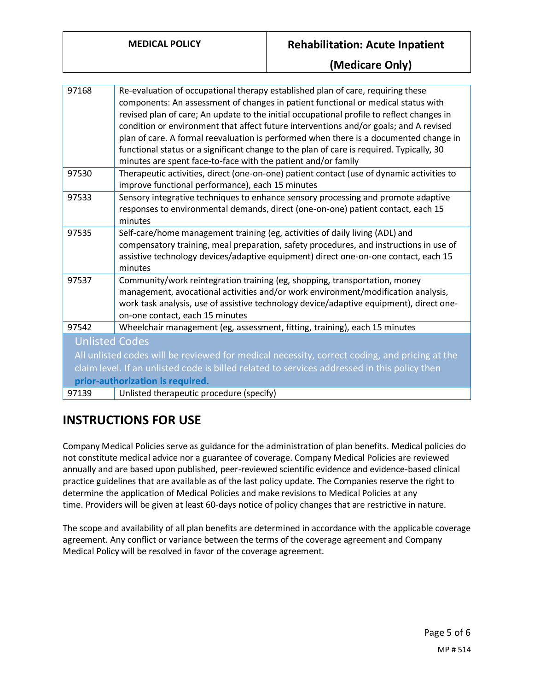### **MEDICAL POLICY Rehabilitation: Acute Inpatient**

### **(Medicare Only)**

| 97168                                                                                                                                                                                                                                                      | Re-evaluation of occupational therapy established plan of care, requiring these<br>components: An assessment of changes in patient functional or medical status with<br>revised plan of care; An update to the initial occupational profile to reflect changes in<br>condition or environment that affect future interventions and/or goals; and A revised<br>plan of care. A formal reevaluation is performed when there is a documented change in<br>functional status or a significant change to the plan of care is required. Typically, 30<br>minutes are spent face-to-face with the patient and/or family |
|------------------------------------------------------------------------------------------------------------------------------------------------------------------------------------------------------------------------------------------------------------|------------------------------------------------------------------------------------------------------------------------------------------------------------------------------------------------------------------------------------------------------------------------------------------------------------------------------------------------------------------------------------------------------------------------------------------------------------------------------------------------------------------------------------------------------------------------------------------------------------------|
| 97530                                                                                                                                                                                                                                                      | Therapeutic activities, direct (one-on-one) patient contact (use of dynamic activities to<br>improve functional performance), each 15 minutes                                                                                                                                                                                                                                                                                                                                                                                                                                                                    |
| 97533                                                                                                                                                                                                                                                      | Sensory integrative techniques to enhance sensory processing and promote adaptive<br>responses to environmental demands, direct (one-on-one) patient contact, each 15<br>minutes                                                                                                                                                                                                                                                                                                                                                                                                                                 |
| 97535                                                                                                                                                                                                                                                      | Self-care/home management training (eg, activities of daily living (ADL) and<br>compensatory training, meal preparation, safety procedures, and instructions in use of<br>assistive technology devices/adaptive equipment) direct one-on-one contact, each 15<br>minutes                                                                                                                                                                                                                                                                                                                                         |
| 97537                                                                                                                                                                                                                                                      | Community/work reintegration training (eg, shopping, transportation, money<br>management, avocational activities and/or work environment/modification analysis,<br>work task analysis, use of assistive technology device/adaptive equipment), direct one-<br>on-one contact, each 15 minutes                                                                                                                                                                                                                                                                                                                    |
| 97542                                                                                                                                                                                                                                                      | Wheelchair management (eg, assessment, fitting, training), each 15 minutes                                                                                                                                                                                                                                                                                                                                                                                                                                                                                                                                       |
| <b>Unlisted Codes</b><br>All unlisted codes will be reviewed for medical necessity, correct coding, and pricing at the<br>claim level. If an unlisted code is billed related to services addressed in this policy then<br>prior-authorization is required. |                                                                                                                                                                                                                                                                                                                                                                                                                                                                                                                                                                                                                  |
| 97139                                                                                                                                                                                                                                                      | Unlisted therapeutic procedure (specify)                                                                                                                                                                                                                                                                                                                                                                                                                                                                                                                                                                         |

## **INSTRUCTIONS FOR USE**

Company Medical Policies serve as guidance for the administration of plan benefits. Medical policies do not constitute medical advice nor a guarantee of coverage. Company Medical Policies are reviewed annually and are based upon published, peer-reviewed scientific evidence and evidence-based clinical practice guidelines that are available as of the last policy update. The Companies reserve the right to determine the application of Medical Policies and make revisions to Medical Policies at any time. Providers will be given at least 60-days notice of policy changes that are restrictive in nature.

The scope and availability of all plan benefits are determined in accordance with the applicable coverage agreement. Any conflict or variance between the terms of the coverage agreement and Company Medical Policy will be resolved in favor of the coverage agreement.